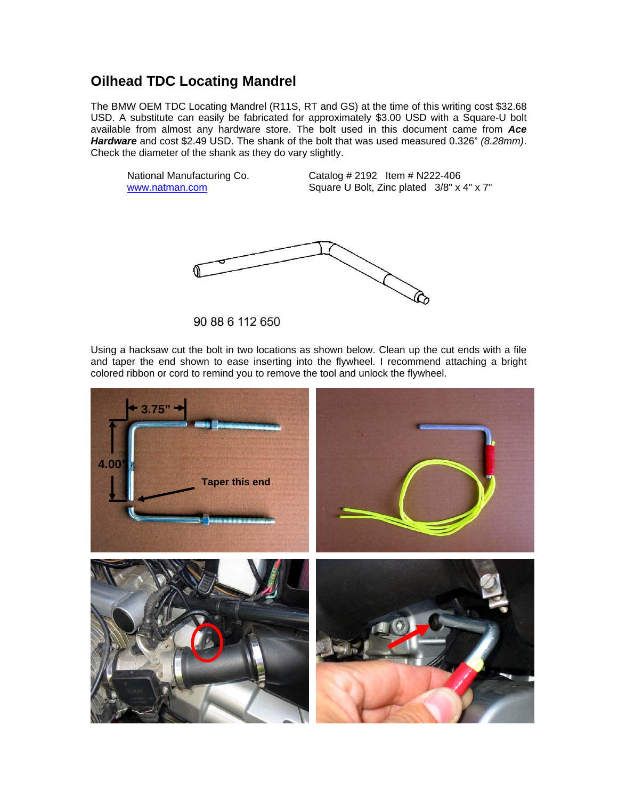## **Oilhead TDC Locating Mandrel**

The BMW OEM TDC Locating Mandrel (R11S, RT and GS) at the time of this writing cost \$32.68 USD. A substitute can easily be fabricated for approximately \$3.00 USD with a Square-U bolt available from almost any hardware store. The bolt used in this document came from *Ace Hardware* and cost \$2.49 USD. The shank of the bolt that was used measured 0.326" *(8.28mm)*. Check the diameter of the shank as they do vary slightly.

National Manufacturing Co. Catalog # 2192 Item # N222-406 www.natman.com Square U Bolt, Zinc plated  $3/8$ " x 4" x 7"



90 88 6 112 650

Using a hacksaw cut the bolt in two locations as shown below. Clean up the cut ends with a file and taper the end shown to ease inserting into the flywheel. I recommend attaching a bright colored ribbon or cord to remind you to remove the tool and unlock the flywheel.